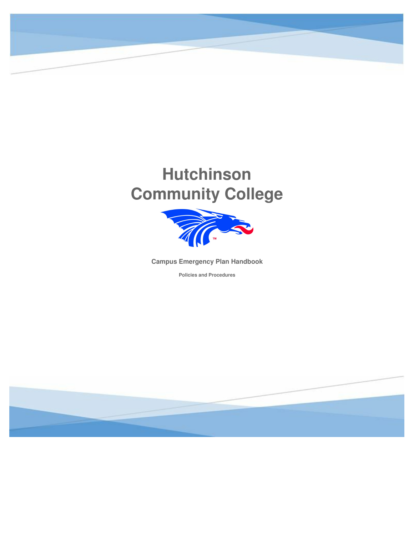

# **Hutchinson Community College**



**Campus Emergency Plan Handbook**

**Policies and Procedures**

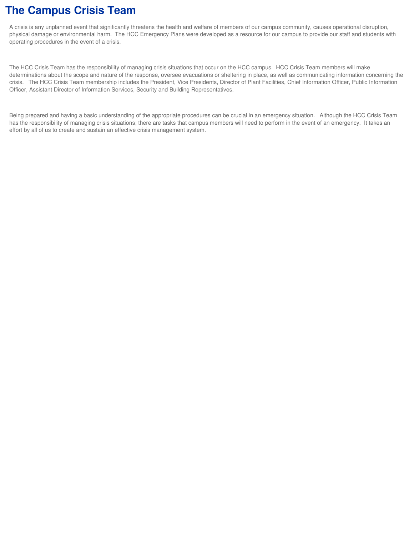### **The Campus Crisis Team**

A crisis is any unplanned event that significantly threatens the health and welfare of members of our campus community, causes operational disruption, physical damage or environmental harm. The HCC Emergency Plans were developed as a resource for our campus to provide our staff and students with operating procedures in the event of a crisis.

The HCC Crisis Team has the responsibility of managing crisis situations that occur on the HCC campus. HCC Crisis Team members will make determinations about the scope and nature of the response, oversee evacuations or sheltering in place, as well as communicating information concerning the crisis. The HCC Crisis Team membership includes the President, Vice Presidents, Director of Plant Facilities, Chief Information Officer, Public Information Officer, Assistant Director of Information Services, Security and Building Representatives.

Being prepared and having a basic understanding of the appropriate procedures can be crucial in an emergency situation. Although the HCC Crisis Team has the responsibility of managing crisis situations; there are tasks that campus members will need to perform in the event of an emergency. It takes an effort by all of us to create and sustain an effective crisis management system.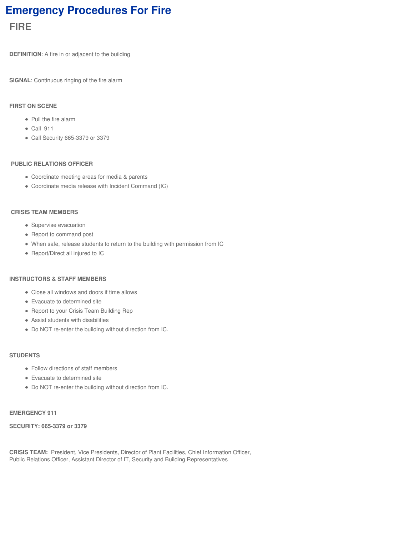# **Emergency Procedures For Fire FIRE**

**DEFINITION**: A fire in or adjacent to the building

**SIGNAL**: Continuous ringing of the fire alarm

#### **FIRST ON SCENE**

- Pull the fire alarm
- Call 911
- Call Security 665-3379 or 3379

#### **PUBLIC RELATIONS OFFICER**

- Coordinate meeting areas for media & parents
- Coordinate media release with Incident Command (IC)

#### **CRISIS TEAM MEMBERS**

- Supervise evacuation
- Report to command post
- When safe, release students to return to the building with permission from IC
- Report/Direct all injured to IC

#### **INSTRUCTORS & STAFF MEMBERS**

- Close all windows and doors if time allows
- Evacuate to determined site
- Report to your Crisis Team Building Rep
- Assist students with disabilities
- Do NOT re-enter the building without direction from IC.

#### **STUDENTS**

- Follow directions of staff members
- Evacuate to determined site
- Do NOT re-enter the building without direction from IC.

#### **EMERGENCY 911**

#### **SECURITY: 665-3379 or 3379**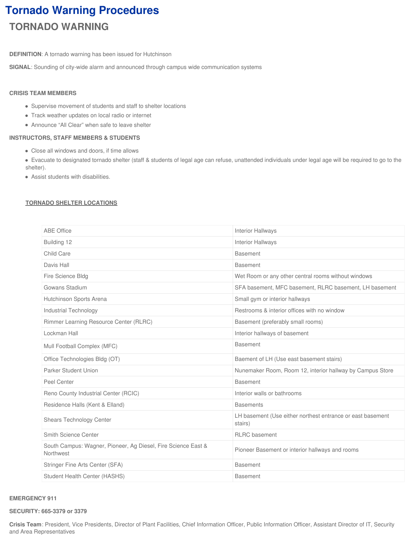# **Tornado Warning Procedures TORNADO WARNING**

**DEFINITION**: A tornado warning has been issued for Hutchinson

**SIGNAL**: Sounding of city-wide alarm and announced through campus wide communication systems

### **CRISIS TEAM MEMBERS**

- Supervise movement of students and staff to shelter locations
- Track weather updates on local radio or internet
- Announce "All Clear" when safe to leave shelter

### **INSTRUCTORS, STAFF MEMBERS & STUDENTS**

- Close all windows and doors, if time allows
- Evacuate to designated tornado shelter (staff & students of legal age can refuse, unattended individuals under legal age will be required to go to the shelter).
- Assist students with disabilities.

### **TORNADO SHELTER LOCATIONS**

| <b>ABE Office</b>                                                          | <b>Interior Hallways</b>                                              |
|----------------------------------------------------------------------------|-----------------------------------------------------------------------|
| Building 12                                                                | Interior Hallways                                                     |
| Child Care                                                                 | <b>Basement</b>                                                       |
| Davis Hall                                                                 | <b>Basement</b>                                                       |
| Fire Science Bldg                                                          | Wet Room or any other central rooms without windows                   |
| Gowans Stadium                                                             | SFA basement, MFC basement, RLRC basement, LH basement                |
| Hutchinson Sports Arena                                                    | Small gym or interior hallways                                        |
| <b>Industrial Technology</b>                                               | Restrooms & interior offices with no window                           |
| Rimmer Learning Resource Center (RLRC)                                     | Basement (preferably small rooms)                                     |
| Lockman Hall                                                               | Interior hallways of basement                                         |
| Mull Football Complex (MFC)                                                | <b>Basement</b>                                                       |
| Office Technologies Bldg (OT)                                              | Baement of LH (Use east basement stairs)                              |
| Parker Student Union                                                       | Nunemaker Room, Room 12, interior hallway by Campus Store             |
| Peel Center                                                                | <b>Basement</b>                                                       |
| Reno County Industrial Center (RCIC)                                       | Interior walls or bathrooms                                           |
| Residence Halls (Kent & Elland)                                            | <b>Basements</b>                                                      |
| Shears Technology Center                                                   | LH basement (Use either northest entrance or east basement<br>stairs) |
| Smith Science Center                                                       | <b>RLRC</b> basement                                                  |
| South Campus: Wagner, Pioneer, Ag Diesel, Fire Science East &<br>Northwest | Pioneer Basement or interior hallways and rooms                       |
| Stringer Fine Arts Center (SFA)                                            | <b>Basement</b>                                                       |
| Student Health Center (HASHS)                                              | <b>Basement</b>                                                       |

#### **EMERGENCY 911**

#### **SECURITY: 665-3379 or 3379**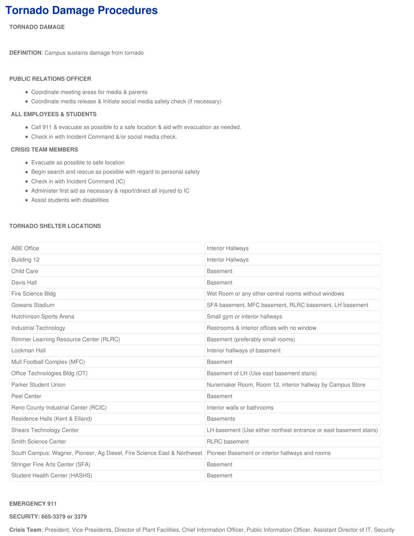# **Tornado Damage Procedures**

**TORNADO DAMAGE**

**DEFINITION**: Campus sustains damage from tornado

#### **PUBLIC RELATIONS OFFICER**

- Coordinate meeting areas for media & parents
- Coordinate media release & Initiate social media safety check (if necessary)

#### **ALL EMPLOYEES & STUDENTS**

- Call 911 & evacuate as possible to a safe location & aid with evacuation as needed.
- Check in with Incident Command &/or social media check.

#### **CRISIS TEAM MEMBERS**

- Evacuate as possible to safe location
- Begin search and rescue as possible with regard to personal safety
- Check in with Incident Command (IC)
- Administer first aid as necessary & report/direct all injured to IC
- Assist students with disabilities

#### **TORNADO SHELTER LOCATIONS**

| <b>ABE Office</b>                                                       | <b>Interior Hallways</b>                                           |  |  |
|-------------------------------------------------------------------------|--------------------------------------------------------------------|--|--|
| Building 12                                                             | <b>Interior Hallways</b>                                           |  |  |
| Child Care                                                              | <b>Basement</b>                                                    |  |  |
| Davis Hall                                                              | <b>Basement</b>                                                    |  |  |
| Fire Science Bldg                                                       | Wet Room or any other central rooms without windows                |  |  |
| Gowans Stadium                                                          | SFA basement, MFC basement, RLRC basement, LH basement             |  |  |
| Hutchinson Sports Arena                                                 | Small gym or interior hallways                                     |  |  |
| Industrial Technology                                                   | Restrooms & interior offices with no window                        |  |  |
| Rimmer Learning Resource Center (RLRC)                                  | Basement (preferably small rooms)                                  |  |  |
| Lockman Hall                                                            | Interior hallways of basement                                      |  |  |
| Mull Football Complex (MFC)                                             | <b>Basement</b>                                                    |  |  |
| Office Technologies Bldg (OT)                                           | Basement of LH (Use east basement stairs)                          |  |  |
| Parker Student Union                                                    | Nunemaker Room, Room 12, interior hallway by Campus Store          |  |  |
| Peel Center                                                             | <b>Basement</b>                                                    |  |  |
| Reno County Industrial Center (RCIC)                                    | Interior walls or bathrooms                                        |  |  |
| Residence Halls (Kent & Elland)                                         | <b>Basements</b>                                                   |  |  |
| Shears Technology Center                                                | LH basement (Use either northest entrance or east basement stairs) |  |  |
| Smith Science Center                                                    | <b>RLRC</b> basement                                               |  |  |
| South Campus: Wagner, Pioneer, Ag Diesel, Fire Science East & Northwest | Pioneer Basement or interior hallways and rooms                    |  |  |
| Stringer Fine Arts Center (SFA)                                         | <b>Basement</b>                                                    |  |  |
| Student Health Center (HASHS)                                           | <b>Basement</b>                                                    |  |  |

#### **EMERGENCY 911**

**SECURITY: 665-3379 or 3379**

**Crisis Team**: President, Vice Presidents, Director of Plant Facilities, Chief Information Officer, Public Information Officer, Assistant Director of IT, Security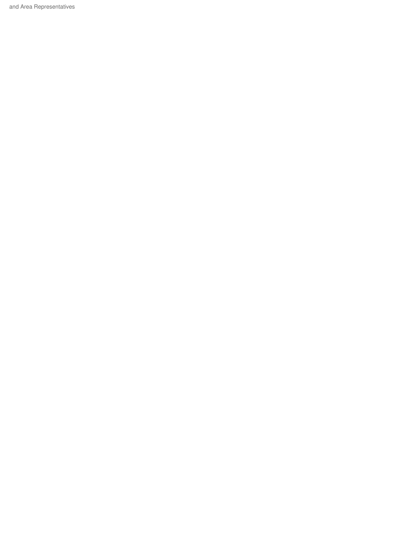and Area Representatives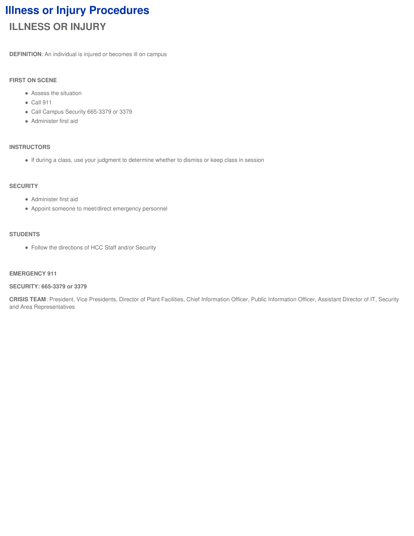# **Illness or Injury Procedures ILLNESS OR INJURY**

**DEFINITION**: An individual is injured or becomes ill on campus

#### **FIRST ON SCENE**

- Assess the situation
- $\bullet$  Call 911
- Call Campus Security 665-3379 or 3379
- Administer first aid

#### **INSTRUCTORS**

If during a class, use your judgment to determine whether to dismiss or keep class in session

#### **SECURITY**

- Administer first aid
- Appoint someone to meet/direct emergency personnel

#### **STUDENTS**

Follow the directions of HCC Staff and/or Security

#### **EMERGENCY 911**

#### **SECURITY: 665-3379 or 3379**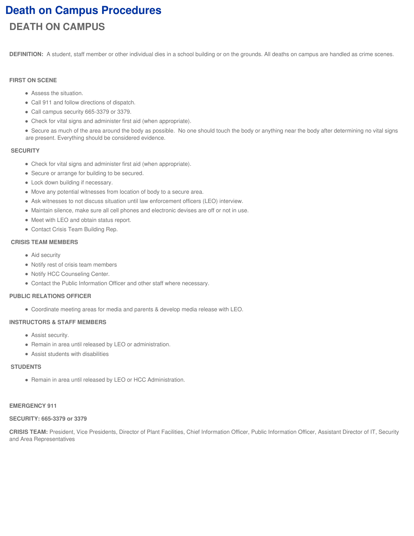# **Death on Campus Procedures DEATH ON CAMPUS**

**DEFINITION:** A student, staff member or other individual dies in a school building or on the grounds. All deaths on campus are handled as crime scenes.

#### **FIRST ON SCENE**

- Assess the situation.
- Call 911 and follow directions of dispatch.
- Call campus security 665-3379 or 3379.
- Check for vital signs and administer first aid (when appropriate).
- Secure as much of the area around the body as possible. No one should touch the body or anything near the body after determining no vital signs are present. Everything should be considered evidence.

#### **SECURITY**

- Check for vital signs and administer first aid (when appropriate).
- Secure or arrange for building to be secured.
- Lock down building if necessary.
- Move any potential witnesses from location of body to a secure area.
- Ask witnesses to not discuss situation until law enforcement officers (LEO) interview.
- Maintain silence, make sure all cell phones and electronic devises are off or not in use.
- Meet with LEO and obtain status report.
- Contact Crisis Team Building Rep.

#### **CRISIS TEAM MEMBERS**

- Aid security
- Notify rest of crisis team members
- Notify HCC Counseling Center.
- Contact the Public Information Officer and other staff where necessary.

#### **PUBLIC RELATIONS OFFICER**

Coordinate meeting areas for media and parents & develop media release with LEO.

#### **INSTRUCTORS & STAFF MEMBERS**

- Assist security.
- Remain in area until released by LEO or administration.
- Assist students with disabilities

#### **STUDENTS**

Remain in area until released by LEO or HCC Administration.

#### **EMERGENCY 911**

#### **SECURITY: 665-3379 or 3379**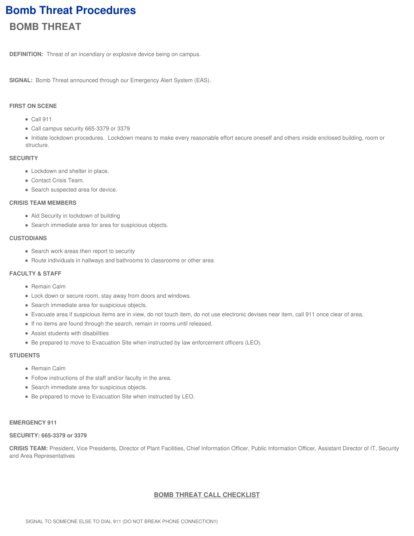# **Bomb Threat Procedures BOMB THREAT**

**DEFINITION:** Threat of an incendiary or explosive device being on campus.

**SIGNAL:** Bomb Threat announced through our Emergency Alert System (EAS).

### **FIRST ON SCENE**

- Call 911
- Call campus security 665-3379 or 3379
- Initiate lockdown procedures. Lockdown means to make every reasonable effort secure oneself and others inside enclosed building, room or structure.

#### **SECURITY**

- Lockdown and shelter in place.
- Contact Crisis Team.
- Search suspected area for device.

#### **CRISIS TEAM MEMBERS**

- Aid Security in lockdown of building
- Search immediate area for area for suspicious objects.

#### **CUSTODIANS**

- Search work areas then report to security
- Route individuals in hallways and bathrooms to classrooms or other area

#### **FACULTY & STAFF**

- Remain Calm
- Lock down or secure room, stay away from doors and windows.
- Search immediate area for suspicious objects.
- Evacuate area if suspicious items are in view, do not touch item, do not use electronic devises near item, call 911 once clear of area.
- If no items are found through the search, remain in rooms until released.
- Assist students with disabilities
- Be prepared to move to Evacuation Site when instructed by law enforcement officers (LEO).

#### **STUDENTS**

- Remain Calm
- Follow instructions of the staff and/or faculty in the area.
- Search immediate area for suspicious objects.
- Be prepared to move to Evacuation Site when instructed by LEO.

#### **EMERGENCY 911**

#### **SECURITY: 665-3379 or 3379**

**CRISIS TEAM:** President, Vice Presidents, Director of Plant Facilities, Chief Information Officer, Public Information Officer, Assistant Director of IT, Security and Area Representatives

#### **BOMB THREAT CALL CHECKLIST**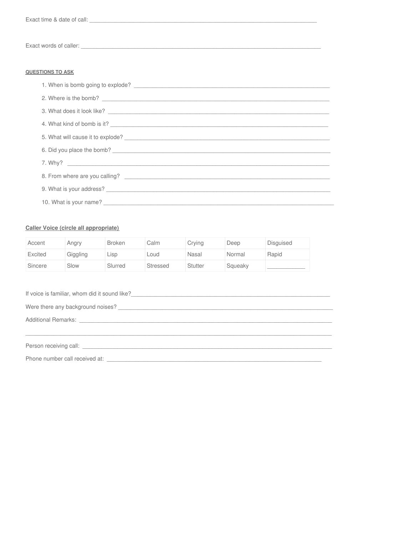#### **QUESTIONS TO ASK**

| 2. Where is the bomb?             |
|-----------------------------------|
| 3. What does it look like?        |
| 4. What kind of bomb is it?       |
| 5. What will cause it to explode? |
| 6. Did you place the bomb?        |
|                                   |
|                                   |
|                                   |
|                                   |

#### Caller Voice (circle all appropriate)

| Accent  | Angry    | <b>Broken</b> | Calm            | Crying         | Deep    | Disguised |
|---------|----------|---------------|-----------------|----------------|---------|-----------|
| Excited | Giggling | $\sqcup$ SD   | Loud            | Nasal          | Normal  | Rapid     |
| Sincere | Slow     | Slurred       | <b>Stressed</b> | <b>Stutter</b> | Squeaky |           |

| Person receiving call: <b>Example 2018 CONSIDERED AT A CONSIDERED AT A CONSIDERED AT A CONSIDERED AT A CONSIDERED AT A CONSIDERATION</b> |  |  |  |  |  |  |
|------------------------------------------------------------------------------------------------------------------------------------------|--|--|--|--|--|--|
|                                                                                                                                          |  |  |  |  |  |  |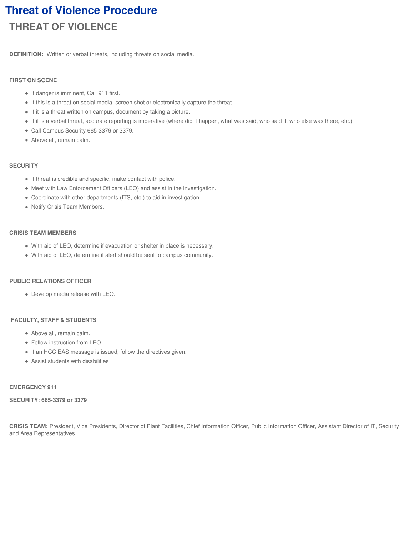# **Threat of Violence Procedure THREAT OF VIOLENCE**

**DEFINITION:** Written or verbal threats, including threats on social media.

### **FIRST ON SCENE**

- If danger is imminent, Call 911 first.
- If this is a threat on social media, screen shot or electronically capture the threat.
- If it is a threat written on campus, document by taking a picture.
- If it is a verbal threat, accurate reporting is imperative (where did it happen, what was said, who said it, who else was there, etc.).
- Call Campus Security 665-3379 or 3379.
- Above all, remain calm.

### **SECURITY**

- If threat is credible and specific, make contact with police.
- Meet with Law Enforcement Officers (LEO) and assist in the investigation.
- Coordinate with other departments (ITS, etc.) to aid in investigation.
- Notify Crisis Team Members.

### **CRISIS TEAM MEMBERS**

- With aid of LEO, determine if evacuation or shelter in place is necessary.
- With aid of LEO, determine if alert should be sent to campus community.

### **PUBLIC RELATIONS OFFICER**

Develop media release with LEO.

### **FACULTY, STAFF & STUDENTS**

- Above all, remain calm.
- Follow instruction from LEO.
- If an HCC EAS message is issued, follow the directives given.
- Assist students with disabilities

### **EMERGENCY 911**

### **SECURITY: 665-3379 or 3379**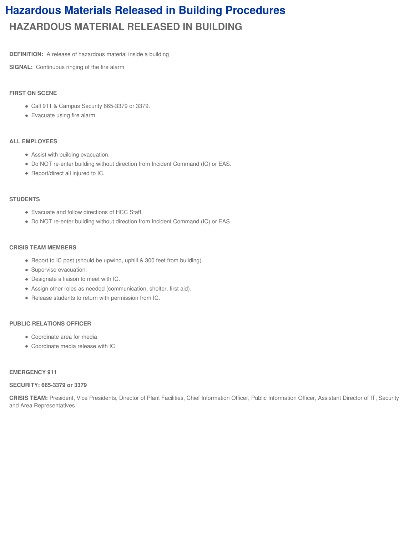# **Hazardous Materials Released in Building Procedures HAZARDOUS MATERIAL RELEASED IN BUILDING**

**DEFINITION:** A release of hazardous material inside a building

**SIGNAL:** Continuous ringing of the fire alarm

#### **FIRST ON SCENE**

- Call 911 & Campus Security 665-3379 or 3379.
- Evacuate using fire alarm.

#### **ALL EMPLOYEES**

- Assist with building evacuation.
- Do NOT re-enter building without direction from Incident Command (IC) or EAS.
- Report/direct all injured to IC.

#### **STUDENTS**

- Evacuate and follow directions of HCC Staff.
- Do NOT re-enter building without direction from Incident Command (IC) or EAS.

#### **CRISIS TEAM MEMBERS**

- Report to IC post (should be upwind, uphill & 300 feet from building).
- Supervise evacuation.
- Designate a liaison to meet with IC.
- Assign other roles as needed (communication, shelter, first aid).
- Release students to return with permission from IC.

#### **PUBLIC RELATIONS OFFICER**

- Coordinate area for media
- Coordinate media release with IC

#### **EMERGENCY 911**

#### **SECURITY: 665-3379 or 3379**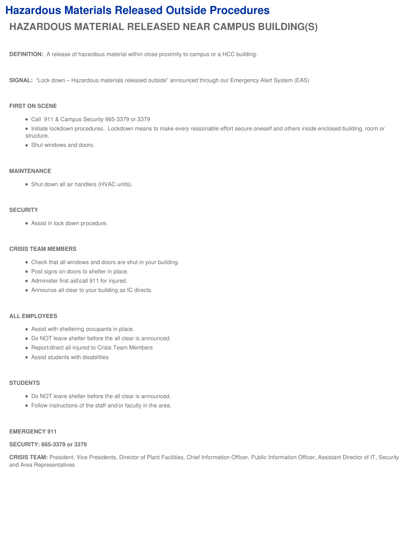# **Hazardous Materials Released Outside Procedures HAZARDOUS MATERIAL RELEASED NEAR CAMPUS BUILDING(S)**

**DEFINITION:** A release of hazardous material within close proximity to campus or a HCC building.

**SIGNAL:** "Lock down – Hazardous materials released outside" announced through our Emergency Alert System (EAS)

#### **FIRST ON SCENE**

- Call 911 & Campus Security 665-3379 or 3379
- Initiate lockdown procedures. Lockdown means to make every reasonable effort secure oneself and others inside enclosed building, room or structure.
- Shut windows and doors.

#### **MAINTENANCE**

Shut down all air handlers (HVAC units).

#### **SECURITY**

Assist in lock down procedure.

#### **CRISIS TEAM MEMBERS**

- Check that all windows and doors are shut in your building.
- Post signs on doors to shelter in place.
- Administer first aid\call 911 for injured.
- Announce all clear to your building as IC directs.

#### **ALL EMPLOYEES**

- Assist with sheltering occupants in place.
- Do NOT leave shelter before the all clear is announced.
- Report/direct all injured to Crisis Team Members
- Assist students with disabilities

#### **STUDENTS**

- Do NOT leave shelter before the all clear is announced.
- Follow instructions of the staff and/or faculty in the area.

#### **EMERGENCY 911**

#### **SECURITY: 665-3379 or 3379**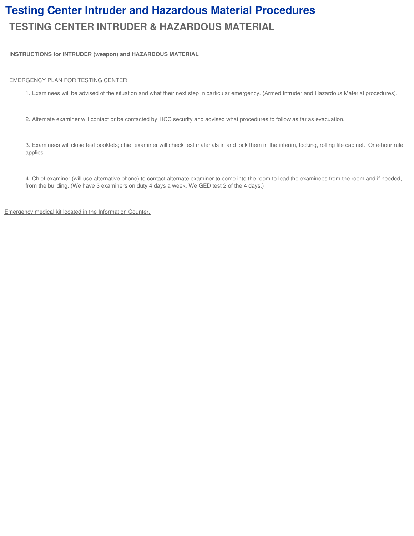# **Testing Center Intruder and Hazardous Material Procedures TESTING CENTER INTRUDER & HAZARDOUS MATERIAL**

#### **INSTRUCTIONS for INTRUDER (weapon) and HAZARDOUS MATERIAL**

#### EMERGENCY PLAN FOR TESTING CENTER

- 1. Examinees will be advised of the situation and what their next step in particular emergency. (Armed Intruder and Hazardous Material procedures).
- 2. Alternate examiner will contact or be contacted by HCC security and advised what procedures to follow as far as evacuation.

3. Examinees will close test booklets; chief examiner will check test materials in and lock them in the interim, locking, rolling file cabinet. One-hour rule applies.

4. Chief examiner (will use alternative phone) to contact alternate examiner to come into the room to lead the examinees from the room and if needed, from the building. (We have 3 examiners on duty 4 days a week. We GED test 2 of the 4 days.)

Emergency medical kit located in the Information Counter.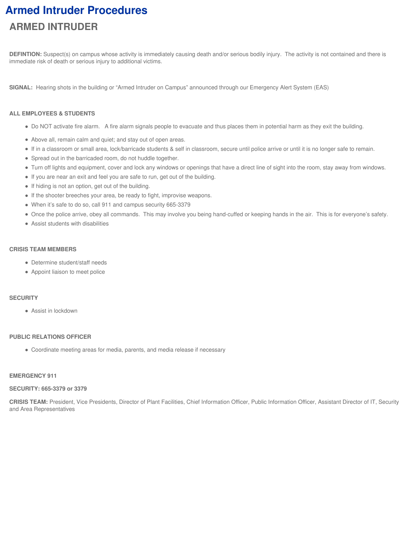# **Armed Intruder Procedures ARMED INTRUDER**

**DEFINTION:** Suspect(s) on campus whose activity is immediately causing death and/or serious bodily injury. The activity is not contained and there is immediate risk of death or serious injury to additional victims.

**SIGNAL:** Hearing shots in the building or "Armed Intruder on Campus" announced through our Emergency Alert System (EAS)

#### **ALL EMPLOYEES & STUDENTS**

- Do NOT activate fire alarm. A fire alarm signals people to evacuate and thus places them in potential harm as they exit the building.
- Above all, remain calm and quiet; and stay out of open areas.
- If in a classroom or small area, lock/barricade students & self in classroom, secure until police arrive or until it is no longer safe to remain.
- Spread out in the barricaded room, do not huddle together.
- Turn off lights and equipment, cover and lock any windows or openings that have a direct line of sight into the room, stay away from windows.
- If you are near an exit and feel you are safe to run, get out of the building.
- If hiding is not an option, get out of the building.
- If the shooter breeches your area, be ready to fight, improvise weapons.
- When it's safe to do so, call 911 and campus security 665-3379
- Once the police arrive, obey all commands. This may involve you being hand-cuffed or keeping hands in the air. This is for everyone's safety.
- Assist students with disabilities

#### **CRISIS TEAM MEMBERS**

- Determine student/staff needs
- Appoint liaison to meet police

#### **SECURITY**

• Assist in lockdown

#### **PUBLIC RELATIONS OFFICER**

Coordinate meeting areas for media, parents, and media release if necessary

#### **EMERGENCY 911**

#### **SECURITY: 665-3379 or 3379**